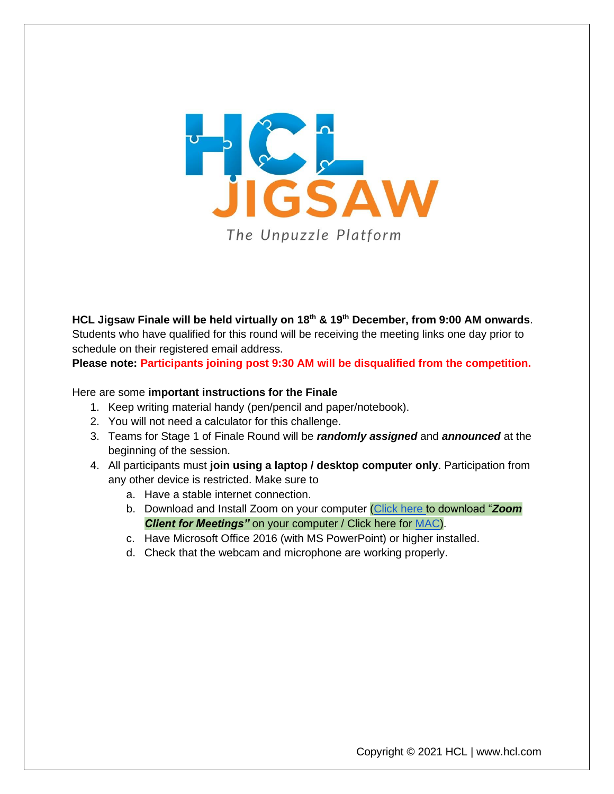

**HCL Jigsaw Finale will be held virtually on 18th & 19th December, from 9:00 AM onwards**. Students who have qualified for this round will be receiving the meeting links one day prior to schedule on their registered email address.

**Please note: Participants joining post 9:30 AM will be disqualified from the competition.**

## Here are some **important instructions for the Finale**

- 1. Keep writing material handy (pen/pencil and paper/notebook).
- 2. You will not need a calculator for this challenge.
- 3. Teams for Stage 1 of Finale Round will be *randomly assigned* and *announced* at the beginning of the session.
- 4. All participants must **join using a laptop / desktop computer only**. Participation from any other device is restricted. Make sure to
	- a. Have a stable internet connection.
	- b. Download and Install Zoom on your computer [\(Click here t](https://zoom.us/download)o download "*Zoom*  **Client for Meetings"** on your computer / Click here for **MAC**).
	- c. Have Microsoft Office 2016 (with MS PowerPoint) or higher installed.
	- d. Check that the webcam and microphone are working properly.